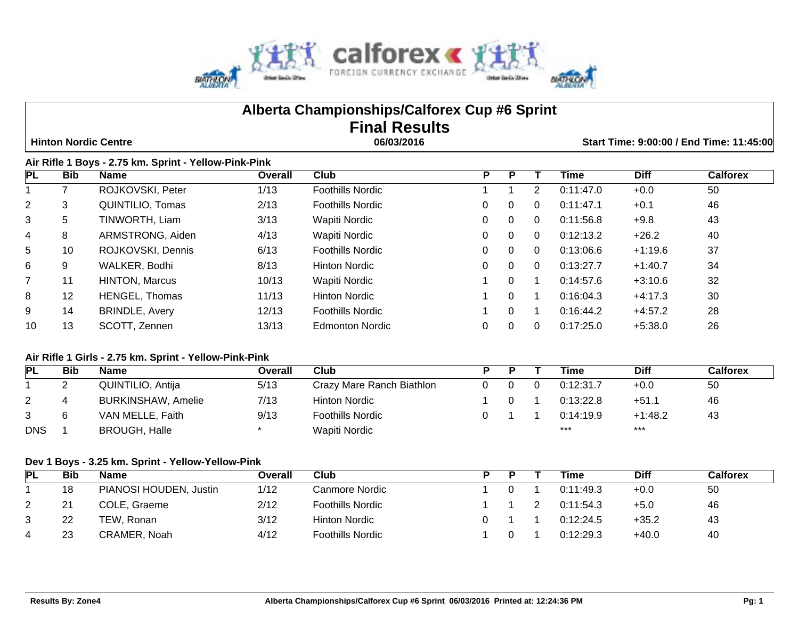

# **Alberta Championships/Calforex Cup #6 Sprint Final Results**

 **Hinton Nordic Centre 06/03/2016 Start Time: 9:00:00 / End Time: 11:45:00**

### **Air Rifle 1 Boys - 2.75 km. Sprint - Yellow-Pink-Pink**

| <b>PL</b>      | Bib               | <b>Name</b>           | Overall | Club                    | P |          |          | <b>Time</b> | <b>Diff</b> | <b>Calforex</b> |
|----------------|-------------------|-----------------------|---------|-------------------------|---|----------|----------|-------------|-------------|-----------------|
|                |                   | ROJKOVSKI, Peter      | 1/13    | <b>Foothills Nordic</b> |   |          | 2        | 0:11:47.0   | $+0.0$      | 50              |
| $\overline{2}$ | 3                 | QUINTILIO, Tomas      | 2/13    | <b>Foothills Nordic</b> | 0 | 0        | 0        | 0:11:47.1   | $+0.1$      | 46              |
| 3              | 5                 | TINWORTH, Liam        | 3/13    | Wapiti Nordic           | 0 | 0        | 0        | 0:11:56.8   | $+9.8$      | 43              |
| 4              | 8                 | ARMSTRONG, Aiden      | 4/13    | Wapiti Nordic           | 0 | 0        | $\Omega$ | 0:12:13.2   | $+26.2$     | 40              |
| 5              | 10                | ROJKOVSKI, Dennis     | 6/13    | <b>Foothills Nordic</b> | 0 | 0        | $\Omega$ | 0:13:06.6   | $+1:19.6$   | 37              |
| 6              | 9                 | WALKER, Bodhi         | 8/13    | <b>Hinton Nordic</b>    | 0 | 0        | $\Omega$ | 0:13:27.7   | $+1:40.7$   | 34              |
| $\overline{7}$ | 11                | <b>HINTON, Marcus</b> | 10/13   | Wapiti Nordic           |   | 0        |          | 0:14:57.6   | $+3:10.6$   | 32              |
| 8              | $12 \overline{ }$ | <b>HENGEL, Thomas</b> | 11/13   | <b>Hinton Nordic</b>    |   | 0        |          | 0:16:04.3   | $+4:17.3$   | 30              |
| 9              | 14                | <b>BRINDLE, Avery</b> | 12/13   | <b>Foothills Nordic</b> |   | $\Omega$ | -1       | 0:16:44.2   | $+4.57.2$   | 28              |
| 10             | 13                | SCOTT, Zennen         | 13/13   | Edmonton Nordic         | 0 |          | $\Omega$ | 0:17:25.0   | $+5:38.0$   | 26              |

#### **Air Rifle 1 Girls - 2.75 km. Sprint - Yellow-Pink-Pink**

| PL         | <b>Bib</b> | <b>Name</b>               | Overall | Club                      |  | Time      | <b>Diff</b> | <b>Calforex</b> |
|------------|------------|---------------------------|---------|---------------------------|--|-----------|-------------|-----------------|
|            |            | QUINTILIO, Antija         | 5/13    | Crazy Mare Ranch Biathlon |  | 0:12:31.7 | $+0.0$      | 50              |
|            |            | <b>BURKINSHAW, Amelie</b> | 7/13    | Hinton Nordic             |  | 0:13:22.8 | $+51.1$     | 46              |
| 3          |            | VAN MELLE, Faith          | 9/13    | <b>Foothills Nordic</b>   |  | 0:14:19.9 | $+1:48.2$   | 43              |
| <b>DNS</b> |            | <b>BROUGH, Halle</b>      |         | Wapiti Nordic             |  | ***       | ***         |                 |

#### **Dev 1 Boys - 3.25 km. Sprint - Yellow-Yellow-Pink**

| PL | Bib | <b>Name</b>            | Overall | Club                    |  | Time      | <b>Diff</b> | Calforex |
|----|-----|------------------------|---------|-------------------------|--|-----------|-------------|----------|
|    | 18  | PIANOSI HOUDEN, Justin | 1/12    | Canmore Nordic          |  | 0:11:49.3 | $+0.0$      | 50       |
| 2  | 21  | COLE, Graeme           | 2/12    | <b>Foothills Nordic</b> |  | 0:11:54.3 | +5.0        | 46       |
| 3  | 22  | TEW. Ronan             | 3/12    | Hinton Nordic           |  | 0:12:24.5 | $+35.2$     | 43       |
| 4  | 23  | CRAMER, Noah           | 4/12    | <b>Foothills Nordic</b> |  | 0:12:29.3 | $+40.0$     | 40       |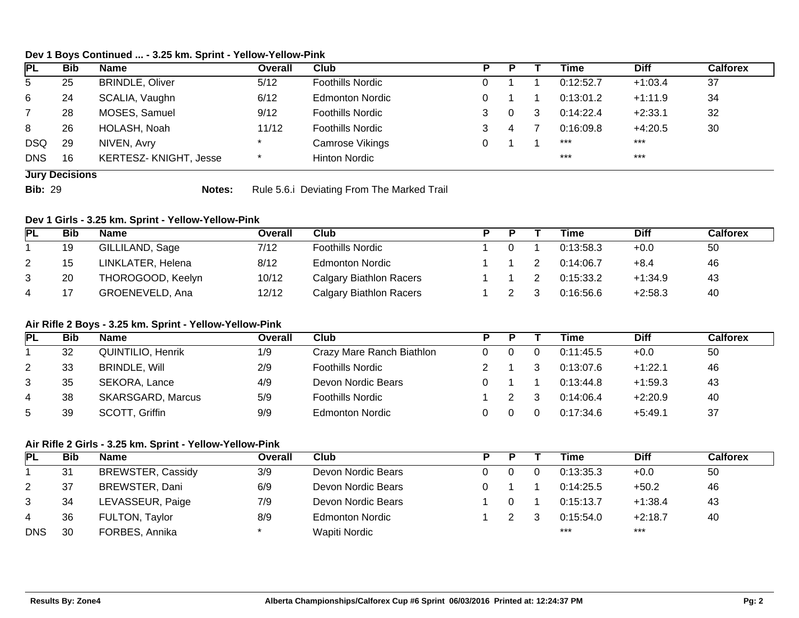#### **Dev 1 Boys Continued ... - 3.25 km. Sprint - Yellow-Yellow-Pink**

| <b>PL</b>  | <b>Bib</b>            | <b>Name</b>            | Overall | Club                    |  |   |   | Time      | <b>Diff</b> | Calforex |
|------------|-----------------------|------------------------|---------|-------------------------|--|---|---|-----------|-------------|----------|
| 5          | 25                    | <b>BRINDLE, Oliver</b> | 5/12    | <b>Foothills Nordic</b> |  |   |   | 0:12:52.7 | $+1:03.4$   | 37       |
| 6          | 24                    | SCALIA, Vaughn         | 6/12    | <b>Edmonton Nordic</b>  |  |   |   | 0:13:01.2 | $+1:11.9$   | 34       |
|            | 28                    | MOSES, Samuel          | 9/12    | <b>Foothills Nordic</b> |  |   | 3 | 0:14:22.4 | $+2:33.1$   | 32       |
| 8          | 26                    | HOLASH, Noah           | 11/12   | <b>Foothills Nordic</b> |  | 4 |   | 0:16:09.8 | $+4:20.5$   | 30       |
| <b>DSQ</b> | 29                    | NIVEN, Avry            |         | Camrose Vikings         |  |   |   | ***       | ***         |          |
| <b>DNS</b> | 16                    | KERTESZ-KNIGHT, Jesse  |         | <b>Hinton Nordic</b>    |  |   |   | $***$     | $***$       |          |
|            | <b>Jury Decisions</b> |                        |         |                         |  |   |   |           |             |          |

**Bib:** 29 **Notes:** Rule 5.6.i Deviating From The Marked Trail

#### **Dev 1 Girls - 3.25 km. Sprint - Yellow-Yellow-Pink**

| PL | <b>Bib</b> | Name              | Overall | Club                           |  | Time      | <b>Diff</b> | Calforex |
|----|------------|-------------------|---------|--------------------------------|--|-----------|-------------|----------|
|    | 19         | GILLILAND, Sage   | 7/12    | <b>Foothills Nordic</b>        |  | 0:13:58.3 | $+0.0$      | 50       |
| 2  | 15         | LINKLATER, Helena | 8/12    | <b>Edmonton Nordic</b>         |  | 0:14:06.7 | $+8.4$      | 46       |
| 3  | 20         | THOROGOOD, Keelyn | 10/12   | <b>Calgary Biathlon Racers</b> |  | 0:15:33.2 | $+1:34.9$   | 43       |
| 4  | 17         | GROENEVELD, Ana   | 12/12   | Calgary Biathlon Racers        |  | 0:16:56.6 | $+2:58.3$   | -40      |

#### **Air Rifle 2 Boys - 3.25 km. Sprint - Yellow-Yellow-Pink**

| PL | Bib | <b>Name</b>              | Overall | Club                      |  | Time      | Diff      | Calforex |
|----|-----|--------------------------|---------|---------------------------|--|-----------|-----------|----------|
|    | 32  | QUINTILIO, Henrik        | 1/9     | Crazy Mare Ranch Biathlon |  | 0:11:45.5 | $+0.0$    | 50       |
| 2  | 33  | <b>BRINDLE, Will</b>     | 2/9     | <b>Foothills Nordic</b>   |  | 0:13:07.6 | $+1:22.1$ | 46       |
| 3  | 35  | SEKORA, Lance            | 4/9     | Devon Nordic Bears        |  | 0:13:44.8 | $+1:59.3$ | 43       |
| 4  | 38  | <b>SKARSGARD, Marcus</b> | 5/9     | <b>Foothills Nordic</b>   |  | 0:14:06.4 | $+2:20.9$ | -40      |
| 5  | 39  | SCOTT, Griffin           | 9/9     | <b>Edmonton Nordic</b>    |  | 0:17:34.6 | $+5:49.1$ | 37       |

#### **Air Rifle 2 Girls - 3.25 km. Sprint - Yellow-Yellow-Pink**

| PL         | <b>Bib</b> | <b>Name</b>              | Overall | Club                   |  | Time      | <b>Diff</b> | Calforex |
|------------|------------|--------------------------|---------|------------------------|--|-----------|-------------|----------|
|            | 31         | <b>BREWSTER, Cassidy</b> | 3/9     | Devon Nordic Bears     |  | 0:13:35.3 | $+0.0$      | 50       |
| 2          | 37         | BREWSTER, Dani           | 6/9     | Devon Nordic Bears     |  | 0:14:25.5 | $+50.2$     | 46       |
| 3          | 34         | LEVASSEUR, Paige         | 7/9     | Devon Nordic Bears     |  | 0:15:13.7 | $+1:38.4$   | 43       |
| 4          | 36         | FULTON, Taylor           | 8/9     | <b>Edmonton Nordic</b> |  | 0:15:54.0 | $+2:18.7$   | 40       |
| <b>DNS</b> | 30         | FORBES, Annika           |         | Wapiti Nordic          |  | $***$     | $***$       |          |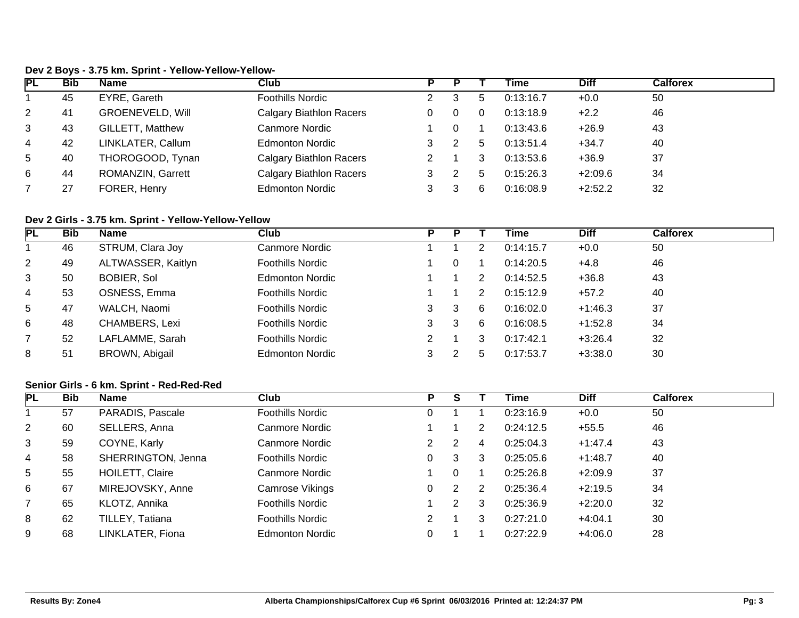# **Dev 2 Boys - 3.75 km. Sprint - Yellow-Yellow-Yellow-**

| <b>PL</b>      | <b>Bib</b> | Name                    | Club                           |  |             | Time      | <b>Diff</b> | <b>Calforex</b> |
|----------------|------------|-------------------------|--------------------------------|--|-------------|-----------|-------------|-----------------|
|                | 45         | EYRE, Gareth            | <b>Foothills Nordic</b>        |  | $\mathbf b$ | 0:13:16.7 | $+0.0$      | 50              |
| $\overline{2}$ | 41         | <b>GROENEVELD, Will</b> | <b>Calgary Biathlon Racers</b> |  |             | 0:13:18.9 | $+2.2$      | 46              |
| 3              | 43         | <b>GILLETT, Matthew</b> | Canmore Nordic                 |  |             | 0:13:43.6 | $+26.9$     | 43              |
| 4              | 42         | LINKLATER, Callum       | <b>Edmonton Nordic</b>         |  | 5           | 0:13:51.4 | $+34.7$     | 40              |
| 5              | 40         | THOROGOOD, Tynan        | <b>Calgary Biathlon Racers</b> |  |             | 0:13:53.6 | $+36.9$     | 37              |
| 6              | 44         | ROMANZIN, Garrett       | <b>Calgary Biathlon Racers</b> |  | 5           | 0:15:26.3 | $+2:09.6$   | 34              |
|                | 27         | FORER, Henry            | <b>Edmonton Nordic</b>         |  | 6           | 0:16:08.9 | $+2:52.2$   | 32              |

# **Dev 2 Girls - 3.75 km. Sprint - Yellow-Yellow-Yellow**

| <b>PL</b>       | <b>Bib</b> | <b>Name</b>        | Club                    | Р |    |   | Time      | <b>Diff</b> | <b>Calforex</b> |
|-----------------|------------|--------------------|-------------------------|---|----|---|-----------|-------------|-----------------|
|                 | 46         | STRUM, Clara Joy   | <b>Canmore Nordic</b>   |   |    |   | 0:14:15.7 | $+0.0$      | 50              |
| 2               | 49         | ALTWASSER, Kaitlyn | <b>Foothills Nordic</b> |   |    |   | 0:14:20.5 | $+4.8$      | 46              |
| $\mathbf{3}$    | 50         | <b>BOBIER, Sol</b> | <b>Edmonton Nordic</b>  |   |    | 2 | 0:14:52.5 | $+36.8$     | 43              |
| 4               | 53         | OSNESS, Emma       | <b>Foothills Nordic</b> |   |    |   | 0:15:12.9 | $+57.2$     | 40              |
| $5\overline{)}$ | 47         | WALCH, Naomi       | <b>Foothills Nordic</b> |   | 3  | 6 | 0:16:02.0 | $+1:46.3$   | 37              |
| 6               | 48         | CHAMBERS, Lexi     | <b>Foothills Nordic</b> |   | -3 | 6 | 0:16:08.5 | $+1:52.8$   | 34              |
| $\overline{7}$  | 52         | LAFLAMME, Sarah    | <b>Foothills Nordic</b> |   |    | 3 | 0:17:42.1 | $+3:26.4$   | 32              |
| 8               | 51         | BROWN, Abigail     | <b>Edmonton Nordic</b>  |   |    | 5 | 0:17:53.7 | $+3:38.0$   | 30              |

#### **Senior Girls - 6 km. Sprint - Red-Red-Red**

| PL             | <b>Bib</b> | <b>Name</b>        | Club                    | P |   |   | Time      | <b>Diff</b> | <b>Calforex</b> |
|----------------|------------|--------------------|-------------------------|---|---|---|-----------|-------------|-----------------|
|                | 57         | PARADIS, Pascale   | <b>Foothills Nordic</b> | 0 |   |   | 0:23:16.9 | $+0.0$      | 50              |
| $\overline{2}$ | 60         | SELLERS, Anna      | Canmore Nordic          |   |   | 2 | 0:24:12.5 | $+55.5$     | 46              |
| 3              | 59         | COYNE, Karly       | Canmore Nordic          | 2 | 2 | 4 | 0:25:04.3 | $+1:47.4$   | 43              |
| 4              | 58         | SHERRINGTON, Jenna | <b>Foothills Nordic</b> | 0 | 3 | 3 | 0:25:05.6 | $+1:48.7$   | 40              |
| 5              | 55         | HOILETT, Claire    | Canmore Nordic          |   | 0 |   | 0:25:26.8 | $+2:09.9$   | 37              |
| 6              | 67         | MIREJOVSKY, Anne   | Camrose Vikings         | 0 | 2 | 2 | 0:25:36.4 | $+2:19.5$   | 34              |
|                | 65         | KLOTZ, Annika      | <b>Foothills Nordic</b> |   | 2 | 3 | 0:25:36.9 | $+2:20.0$   | 32              |
| 8              | 62         | TILLEY, Tatiana    | <b>Foothills Nordic</b> | 2 |   | 3 | 0:27:21.0 | $+4:04.1$   | 30              |
| 9              | 68         | LINKLATER, Fiona   | <b>Edmonton Nordic</b>  |   |   |   | 0:27:22.9 | $+4:06.0$   | 28              |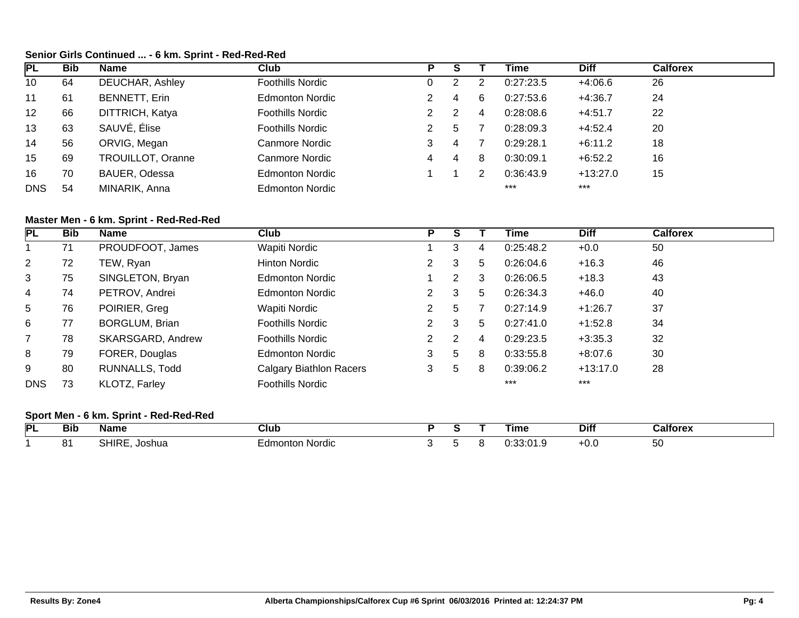# **Senior Girls Continued ... - 6 km. Sprint - Red-Red-Red**

| <b>PL</b>  | <b>Bib</b> | <b>Name</b>          | Club                    | Р |   |   | Time      | <b>Diff</b> | <b>Calforex</b> |
|------------|------------|----------------------|-------------------------|---|---|---|-----------|-------------|-----------------|
| 10         | 64         | DEUCHAR, Ashley      | Foothills Nordic        |   | ົ |   | 0:27:23.5 | $+4:06.6$   | 26              |
| 11         | 61         | <b>BENNETT, Erin</b> | <b>Edmonton Nordic</b>  |   | 4 | 6 | 0:27:53.6 | $+4:36.7$   | 24              |
| 12         | 66         | DITTRICH, Katya      | <b>Foothills Nordic</b> |   | 2 | 4 | 0:28:08.6 | $+4:51.7$   | 22              |
| 13         | 63         | SAUVÉ, Élise         | <b>Foothills Nordic</b> | 2 | 5 |   | 0:28:09.3 | $+4.52.4$   | 20              |
| 14         | 56         | ORVIG, Megan         | Canmore Nordic          | 3 | 4 |   | 0:29:28.1 | $+6:11.2$   | 18              |
| 15         | 69         | TROUILLOT, Oranne    | Canmore Nordic          | 4 | 4 | 8 | 0:30:09.1 | $+6:52.2$   | 16              |
| 16         | 70         | BAUER, Odessa        | <b>Edmonton Nordic</b>  |   |   | າ | 0:36:43.9 | $+13:27.0$  | 15              |
| <b>DNS</b> | 54         | MINARIK, Anna        | <b>Edmonton Nordic</b>  |   |   |   | $***$     | $***$       |                 |

# **Master Men - 6 km. Sprint - Red-Red-Red**

| <b>PL</b>      | <b>Bib</b> | <b>Name</b>           | Club                           | P                    |                      |   | Time      | <b>Diff</b> | <b>Calforex</b> |
|----------------|------------|-----------------------|--------------------------------|----------------------|----------------------|---|-----------|-------------|-----------------|
|                | 71         | PROUDFOOT, James      | Wapiti Nordic                  |                      | 3                    | 4 | 0:25:48.2 | $+0.0$      | 50              |
| $\overline{2}$ | 72         | TEW, Ryan             | <b>Hinton Nordic</b>           | $\mathbf{2}^{\circ}$ | 3                    | 5 | 0:26:04.6 | $+16.3$     | 46              |
| 3              | 75         | SINGLETON, Bryan      | <b>Edmonton Nordic</b>         |                      | $\mathbf{2}^{\circ}$ | 3 | 0:26:06.5 | $+18.3$     | 43              |
| 4              | 74         | PETROV, Andrei        | <b>Edmonton Nordic</b>         | $\mathbf{2}^{\circ}$ | 3                    | 5 | 0:26:34.3 | $+46.0$     | 40              |
| 5              | 76         | POIRIER, Greg         | Wapiti Nordic                  |                      | 5                    |   | 0:27:14.9 | $+1:26.7$   | 37              |
| 6              | 77         | <b>BORGLUM, Brian</b> | <b>Foothills Nordic</b>        | $\mathbf{2}^{\circ}$ | 3                    | 5 | 0:27:41.0 | $+1:52.8$   | 34              |
| $\overline{7}$ | 78         | SKARSGARD, Andrew     | <b>Foothills Nordic</b>        | $\mathbf{2}^{\circ}$ | 2                    | 4 | 0:29:23.5 | $+3:35.3$   | 32              |
| 8              | 79         | FORER, Douglas        | <b>Edmonton Nordic</b>         | 3                    | 5                    | 8 | 0:33:55.8 | $+8:07.6$   | 30              |
| 9              | 80         | RUNNALLS, Todd        | <b>Calgary Biathlon Racers</b> | 3                    | 5                    | 8 | 0:39:06.2 | $+13:17.0$  | 28              |
| <b>DNS</b>     | 73         | KLOTZ, Farley         | <b>Foothills Nordic</b>        |                      |                      |   | $***$     | $***$       |                 |

# **Sport Men - 6 km. Sprint - Red-Red-Red**

| PL | --<br>Bit | <b>Name</b> | Club                                   |  | ⊺ıme                   | <b>Diff</b> | Calforex |
|----|-----------|-------------|----------------------------------------|--|------------------------|-------------|----------|
|    | ັ         | oshua       | Nordic<br>onton.<br>_amor <sup>.</sup> |  | $\sim$<br>0. UU.U I .U | ע.ט−        | -<br>ື   |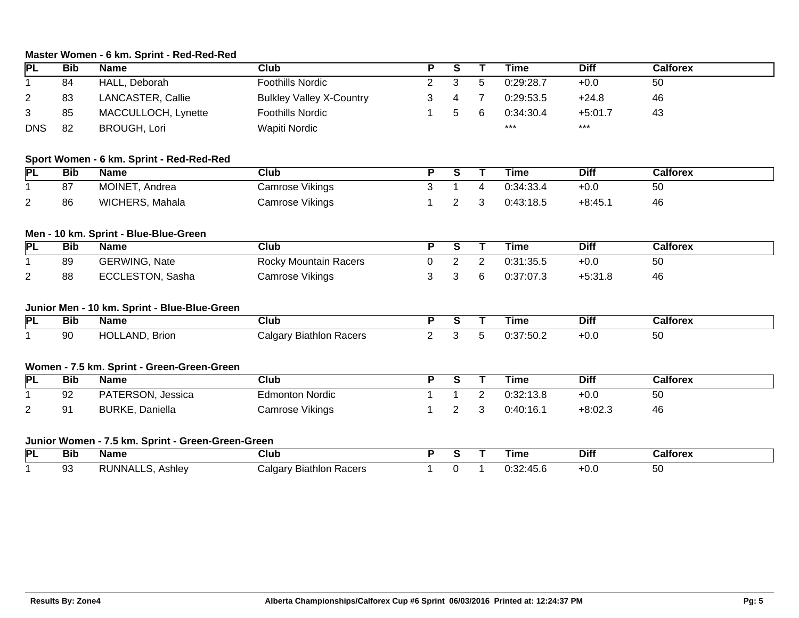# **Master Women - 6 km. Sprint - Red-Red-Red**

| PL                                    | <b>Bib</b>                                        | <b>Name</b>                                  | <b>Club</b>                     | P              | S              |                | <b>Time</b> | <b>Diff</b> | <b>Calforex</b> |  |
|---------------------------------------|---------------------------------------------------|----------------------------------------------|---------------------------------|----------------|----------------|----------------|-------------|-------------|-----------------|--|
| 1                                     | 84                                                | HALL, Deborah                                | <b>Foothills Nordic</b>         | $\overline{2}$ | 3              | 5              | 0:29:28.7   | $+0.0$      | 50              |  |
| $\overline{2}$                        | 83                                                | LANCASTER, Callie                            | <b>Bulkley Valley X-Country</b> | 3              | 4              |                | 0:29:53.5   | $+24.8$     | 46              |  |
| 3                                     | 85                                                | MACCULLOCH, Lynette                          | <b>Foothills Nordic</b>         | 1              | 5              | 6              | 0:34:30.4   | $+5:01.7$   | 43              |  |
| <b>DNS</b>                            | 82                                                | <b>BROUGH, Lori</b>                          | Wapiti Nordic                   |                |                |                | ***         | $***$       |                 |  |
|                                       |                                                   | Sport Women - 6 km. Sprint - Red-Red-Red     |                                 |                |                |                |             |             |                 |  |
| <b>PL</b>                             | <b>Bib</b>                                        | <b>Name</b>                                  | <b>Club</b>                     | P.             | $\overline{s}$ | Τ              | <b>Time</b> | <b>Diff</b> | <b>Calforex</b> |  |
|                                       | 87                                                | MOINET, Andrea                               | Camrose Vikings                 | 3              | 1              | 4              | 0:34:33.4   | $+0.0$      | 50              |  |
| 2                                     | 86                                                | WICHERS, Mahala                              | Camrose Vikings                 | 1              | $\overline{2}$ | 3              | 0:43:18.5   | $+8:45.1$   | 46              |  |
| Men - 10 km. Sprint - Blue-Blue-Green |                                                   |                                              |                                 |                |                |                |             |             |                 |  |
| <b>PL</b>                             | <b>Bib</b>                                        | <b>Name</b>                                  | Club                            | $\overline{P}$ | $\overline{s}$ |                | <b>Time</b> | <b>Diff</b> | <b>Calforex</b> |  |
| 1                                     | 89                                                | <b>GERWING, Nate</b>                         | <b>Rocky Mountain Racers</b>    | $\mathbf 0$    | $\overline{2}$ | $\overline{2}$ | 0:31:35.5   | $+0.0$      | 50              |  |
| $\overline{2}$                        | 88                                                | ECCLESTON, Sasha                             | <b>Camrose Vikings</b>          | 3              | 3              | 6              | 0:37:07.3   | $+5:31.8$   | 46              |  |
|                                       |                                                   | Junior Men - 10 km. Sprint - Blue-Blue-Green |                                 |                |                |                |             |             |                 |  |
| <b>PL</b>                             | <b>Bib</b>                                        | <b>Name</b>                                  | Club                            | $\overline{P}$ | $\overline{s}$ |                | <b>Time</b> | <b>Diff</b> | <b>Calforex</b> |  |
| $\mathbf{1}$                          | 90                                                | HOLLAND, Brion                               | <b>Calgary Biathlon Racers</b>  | $\overline{2}$ | 3              | 5              | 0:37:50.2   | $+0.0$      | 50              |  |
|                                       |                                                   | Women - 7.5 km. Sprint - Green-Green-Green   |                                 |                |                |                |             |             |                 |  |
| <b>PL</b>                             | <b>Bib</b>                                        | <b>Name</b>                                  | Club                            | $\overline{P}$ | S              |                | <b>Time</b> | <b>Diff</b> | <b>Calforex</b> |  |
|                                       | 92                                                | PATERSON, Jessica                            | <b>Edmonton Nordic</b>          | 1              | 1              | $\overline{2}$ | 0:32:13.8   | $+0.0$      | 50              |  |
| 2                                     | 91                                                | <b>BURKE, Daniella</b>                       | <b>Camrose Vikings</b>          |                | $\overline{2}$ | 3              | 0:40:16.1   | $+8:02.3$   | 46              |  |
|                                       | Junior Women - 7.5 km. Sprint - Green-Green-Green |                                              |                                 |                |                |                |             |             |                 |  |
| PL                                    | <b>Bib</b>                                        | <b>Name</b>                                  | <b>Club</b>                     | P              | S              |                | <b>Time</b> | <b>Diff</b> | <b>Calforex</b> |  |
|                                       | 93                                                | <b>RUNNALLS, Ashley</b>                      | <b>Calgary Biathlon Racers</b>  | 1              | 0              | -1             | 0:32:45.6   | $+0.0$      | 50              |  |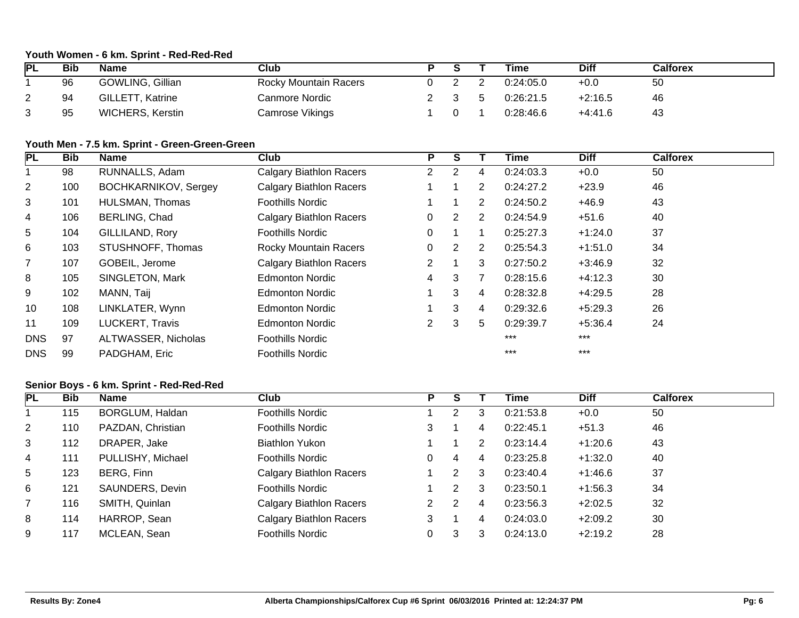# **Youth Women - 6 km. Sprint - Red-Red-Red**

| <b>PL</b> | Bib | <b>Name</b>             | Club                         |  | Time      | <b>Diff</b> | Calforex |
|-----------|-----|-------------------------|------------------------------|--|-----------|-------------|----------|
|           | 96  | GOWLING, Gillian        | <b>Rocky Mountain Racers</b> |  | 0:24:05.0 | $+0.0$      | 50       |
| <u>_</u>  | 94  | <b>GILLETT, Katrine</b> | Canmore Nordic               |  | 0:26:21.5 | $+2:16.5$   | 46       |
| ◠<br>ٮ    | 95  | <b>WICHERS, Kerstin</b> | Camrose Vikings              |  | 0:28:46.6 | $+4:41.6$   | 43       |

### **Youth Men - 7.5 km. Sprint - Green-Green-Green**

| PL              | <b>Bib</b> | Name                        | Club                           | P                     | S              |                | Time      | <b>Diff</b> | <b>Calforex</b> |
|-----------------|------------|-----------------------------|--------------------------------|-----------------------|----------------|----------------|-----------|-------------|-----------------|
|                 | 98         | RUNNALLS, Adam              | <b>Calgary Biathlon Racers</b> | $\mathbf{2}^{\circ}$  | 2              | 4              | 0:24:03.3 | $+0.0$      | 50              |
| $\overline{2}$  | 100        | <b>BOCHKARNIKOV, Sergey</b> | <b>Calgary Biathlon Racers</b> |                       | 1              | $\overline{2}$ | 0:24:27.2 | $+23.9$     | 46              |
| 3               | 101        | HULSMAN, Thomas             | <b>Foothills Nordic</b>        |                       |                | $\overline{2}$ | 0:24:50.2 | $+46.9$     | 43              |
| 4               | 106        | BERLING, Chad               | <b>Calgary Biathlon Racers</b> | 0                     | $\overline{2}$ | 2              | 0:24:54.9 | $+51.6$     | 40              |
| $5\overline{)}$ | 104        | GILLILAND, Rory             | <b>Foothills Nordic</b>        | 0                     |                |                | 0:25:27.3 | $+1:24.0$   | 37              |
| 6               | 103        | STUSHNOFF, Thomas           | <b>Rocky Mountain Racers</b>   | 0                     | 2              | 2              | 0:25:54.3 | $+1:51.0$   | 34              |
| $\overline{7}$  | 107        | GOBEIL, Jerome              | <b>Calgary Biathlon Racers</b> | $\overline{2}$        | 1              | 3              | 0:27:50.2 | $+3:46.9$   | 32              |
| 8               | 105        | SINGLETON, Mark             | <b>Edmonton Nordic</b>         | 4                     | 3              |                | 0:28:15.6 | $+4:12.3$   | 30              |
| 9               | 102        | MANN, Taij                  | <b>Edmonton Nordic</b>         |                       | 3              | 4              | 0:28:32.8 | $+4:29.5$   | 28              |
| 10              | 108        | LINKLATER, Wynn             | <b>Edmonton Nordic</b>         |                       | 3              | 4              | 0:29:32.6 | $+5:29.3$   | 26              |
| 11              | 109        | LUCKERT, Travis             | <b>Edmonton Nordic</b>         | $\mathbf{2}^{\prime}$ | 3              | 5              | 0:29:39.7 | $+5:36.4$   | 24              |
| <b>DNS</b>      | 97         | ALTWASSER, Nicholas         | <b>Foothills Nordic</b>        |                       |                |                | $***$     | $***$       |                 |
| <b>DNS</b>      | 99         | PADGHAM, Eric               | <b>Foothills Nordic</b>        |                       |                |                | $***$     | $***$       |                 |

# **Senior Boys - 6 km. Sprint - Red-Red-Red**

| <b>PL</b>      | <b>Bib</b> | <b>Name</b>       | Club                           | P | S |   | Time      | <b>Diff</b> | <b>Calforex</b> |
|----------------|------------|-------------------|--------------------------------|---|---|---|-----------|-------------|-----------------|
|                | 115        | BORGLUM, Haldan   | <b>Foothills Nordic</b>        |   | 2 | 3 | 0:21:53.8 | $+0.0$      | 50              |
| $\overline{2}$ | 110        | PAZDAN, Christian | <b>Foothills Nordic</b>        | 3 |   | 4 | 0:22:45.1 | $+51.3$     | 46              |
| 3              | 112        | DRAPER, Jake      | <b>Biathlon Yukon</b>          |   |   | 2 | 0:23:14.4 | $+1:20.6$   | 43              |
| 4              | 111        | PULLISHY, Michael | <b>Foothills Nordic</b>        |   | 4 | 4 | 0:23:25.8 | $+1:32.0$   | 40              |
| 5              | 123        | BERG, Finn        | <b>Calgary Biathlon Racers</b> |   | 2 | 3 | 0:23:40.4 | $+1.46.6$   | 37              |
| 6              | 121        | SAUNDERS, Devin   | <b>Foothills Nordic</b>        |   | 2 | 3 | 0:23:50.1 | $+1:56.3$   | 34              |
|                | 116        | SMITH, Quinlan    | Calgary Biathlon Racers        | 2 | 2 | 4 | 0:23:56.3 | $+2:02.5$   | 32              |
| 8              | 114        | HARROP, Sean      | Calgary Biathlon Racers        | 3 |   | 4 | 0:24:03.0 | $+2:09.2$   | 30              |
| 9              | 117        | MCLEAN, Sean      | <b>Foothills Nordic</b>        |   | 3 | 3 | 0:24:13.0 | $+2:19.2$   | 28              |